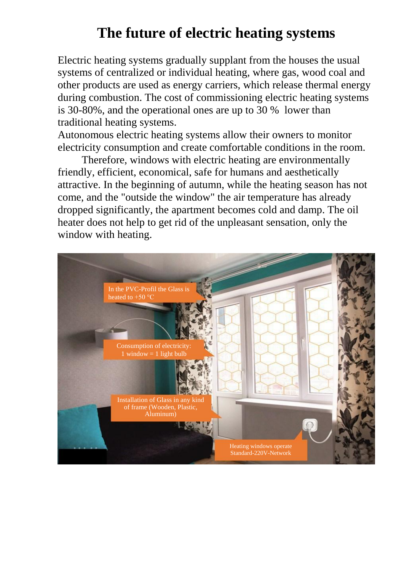## **The future of electric heating systems**

Electric heating systems gradually supplant from the houses the usual systems of centralized or individual heating, where gas, wood coal and other products are used as energy carriers, which release thermal energy during combustion. The cost of commissioning electric heating systems is 30-80%, and the operational ones are up to 30 % lower than traditional heating systems.

Autonomous electric heating systems allow their owners to monitor electricity consumption and create comfortable conditions in the room.

Therefore, windows with electric heating are environmentally friendly, efficient, economical, safe for humans and aesthetically attractive. In the beginning of autumn, while the heating season has not come, and the "outside the window" the air temperature has already dropped significantly, the apartment becomes cold and damp. The oil heater does not help to get rid of the unpleasant sensation, only the window with heating.

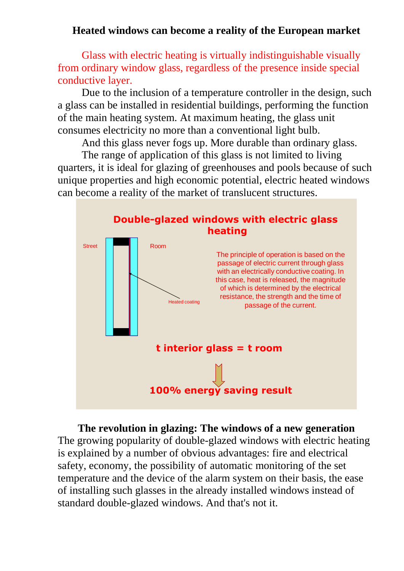#### **Heated windows can become a reality of the European market**

Glass with electric heating is virtually indistinguishable visually from ordinary window glass, regardless of the presence inside special conductive layer.

Due to the inclusion of a temperature controller in the design, such a glass can be installed in residential buildings, performing the function of the main heating system. At maximum heating, the glass unit consumes electricity no more than a conventional light bulb.

And this glass never fogs up. More durable than ordinary glass.

The range of application of this glass is not limited to living quarters, it is ideal for glazing of greenhouses and pools because of such unique properties and high economic potential, electric heated windows can become a reality of the market of translucent structures.



**The revolution in glazing: The windows of a new generation** The growing popularity of double-glazed windows with electric heating is explained by a number of obvious advantages: fire and electrical safety, economy, the possibility of automatic monitoring of the set temperature and the device of the alarm system on their basis, the ease of installing such glasses in the already installed windows instead of standard double-glazed windows. And that's not it.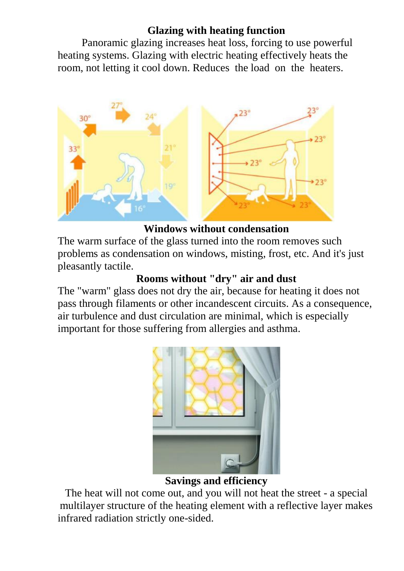#### **Glazing with heating function**

Panoramic glazing increases heat loss, forcing to use powerful heating systems. Glazing with electric heating effectively heats the room, not letting it cool down. Reduces the load on the heaters.



### **Windows without condensation**

The warm surface of the glass turned into the room removes such problems as condensation on windows, misting, frost, etc. And it's just pleasantly tactile.

#### **Rooms without "dry" air and dust**

The "warm" glass does not dry the air, because for heating it does not pass through filaments or other incandescent circuits. As a consequence, air turbulence and dust circulation are minimal, which is especially important for those suffering from allergies and asthma.



#### **Savings and efficiency**

The heat will not come out, and you will not heat the street - a special multilayer structure of the heating element with a reflective layer makes infrared radiation strictly one-sided.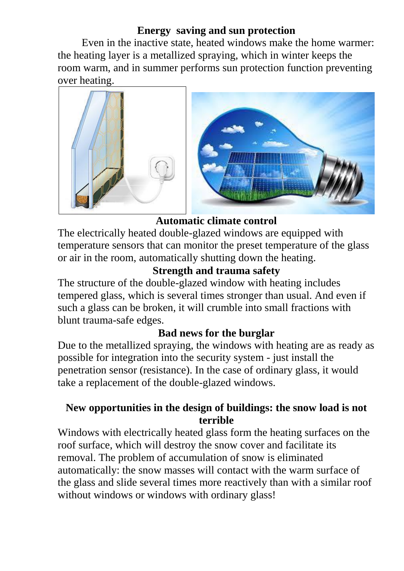#### **Energy saving and sun protection**

Even in the inactive state, heated windows make the home warmer: the heating layer is a metallized spraying, which in winter keeps the room warm, and in summer performs sun protection function preventing over heating.



#### **Automatic climate control**

The electrically heated double-glazed windows are equipped with temperature sensors that can monitor the preset temperature of the glass or air in the room, automatically shutting down the heating.

#### **Strength and trauma safety**

The structure of the double-glazed window with heating includes tempered glass, which is several times stronger than usual. And even if such a glass can be broken, it will crumble into small fractions with blunt trauma-safe edges.

#### **Bad news for the burglar**

Due to the metallized spraying, the windows with heating are as ready as possible for integration into the security system - just install the penetration sensor (resistance). In the case of ordinary glass, it would take a replacement of the double-glazed windows.

#### **New opportunities in the design of buildings: the snow load is not terrible**

Windows with electrically heated glass form the heating surfaces on the roof surface, which will destroy the snow cover and facilitate its removal. The problem of accumulation of snow is eliminated automatically: the snow masses will contact with the warm surface of the glass and slide several times more reactively than with a similar roof without windows or windows with ordinary glass!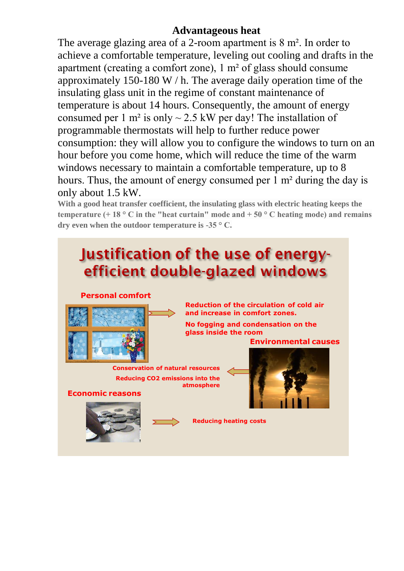#### **Advantageous heat**

The average glazing area of a 2-room apartment is 8 m². In order to achieve a comfortable temperature, leveling out cooling and drafts in the apartment (creating a comfort zone), 1 m² of glass should consume approximately 150-180 W / h. The average daily operation time of the insulating glass unit in the regime of constant maintenance of temperature is about 14 hours. Consequently, the amount of energy consumed per 1 m<sup>2</sup> is only  $\sim$  2.5 kW per day! The installation of programmable thermostats will help to further reduce power consumption: they will allow you to configure the windows to turn on an hour before you come home, which will reduce the time of the warm windows necessary to maintain a comfortable temperature, up to 8 hours. Thus, the amount of energy consumed per 1 m² during the day is only about 1.5 kW.

**With a good heat transfer coefficient, the insulating glass with electric heating keeps the temperature (+ 18 ° C in the "heat curtain" mode and + 50 ° C heating mode) and remains dry even when the outdoor temperature is -35 ° C.**

# Justification of the use of energyefficient double-glazed windows

#### **Personal comfort**



**Reduction of the circulation of cold air and increase in comfort zones.**

**No fogging and condensation on the glass inside the room**

**Environmental causes**

**Conservation of natural resources Reducing CO2 emissions into the atmosphere**









**Reducing heating costs**